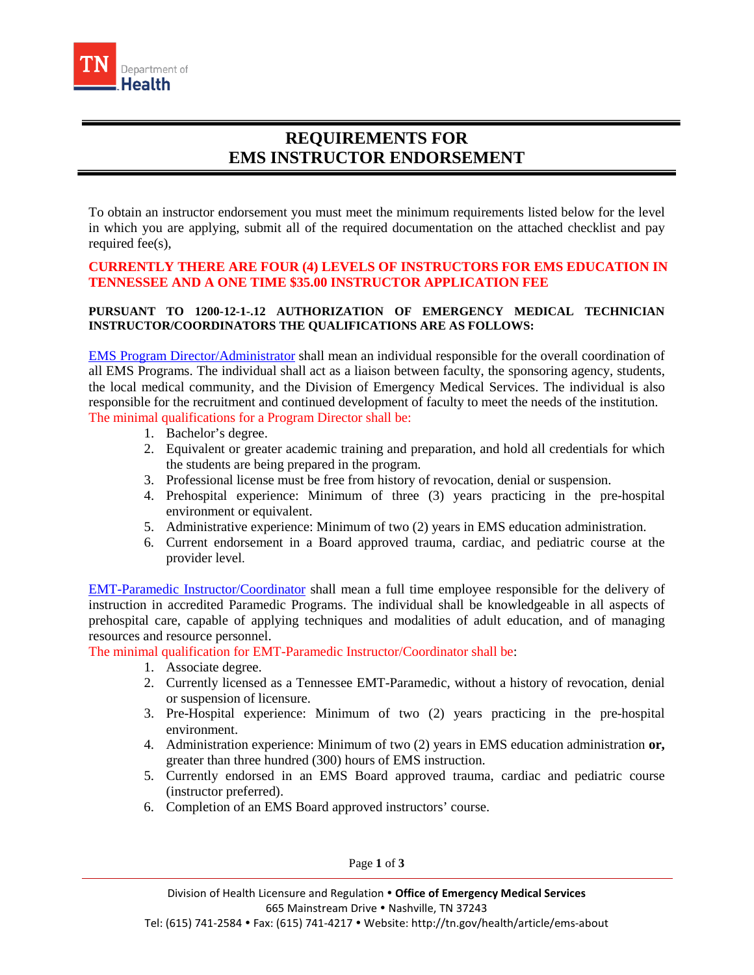

## **REQUIREMENTS FOR EMS INSTRUCTOR ENDORSEMENT**

To obtain an instructor endorsement you must meet the minimum requirements listed below for the level in which you are applying, submit all of the required documentation on the attached checklist and pay required fee(s),

### **CURRENTLY THERE ARE FOUR (4) LEVELS OF INSTRUCTORS FOR EMS EDUCATION IN TENNESSEE AND A ONE TIME \$35.00 INSTRUCTOR APPLICATION FEE**

#### **PURSUANT TO 1200-12-1-.12 AUTHORIZATION OF EMERGENCY MEDICAL TECHNICIAN INSTRUCTOR/COORDINATORS THE QUALIFICATIONS ARE AS FOLLOWS:**

EMS Program Director/Administrator shall mean an individual responsible for the overall coordination of all EMS Programs. The individual shall act as a liaison between faculty, the sponsoring agency, students, the local medical community, and the Division of Emergency Medical Services. The individual is also responsible for the recruitment and continued development of faculty to meet the needs of the institution. The minimal qualifications for a Program Director shall be:

- 1. Bachelor's degree.
- 2. Equivalent or greater academic training and preparation, and hold all credentials for which the students are being prepared in the program.
- 3. Professional license must be free from history of revocation, denial or suspension.
- 4. Prehospital experience: Minimum of three (3) years practicing in the pre-hospital environment or equivalent.
- 5. Administrative experience: Minimum of two (2) years in EMS education administration.
- 6. Current endorsement in a Board approved trauma, cardiac, and pediatric course at the provider level.

EMT-Paramedic Instructor/Coordinator shall mean a full time employee responsible for the delivery of instruction in accredited Paramedic Programs. The individual shall be knowledgeable in all aspects of prehospital care, capable of applying techniques and modalities of adult education, and of managing resources and resource personnel.

The minimal qualification for EMT-Paramedic Instructor/Coordinator shall be:

- 1. Associate degree.
- 2. Currently licensed as a Tennessee EMT-Paramedic, without a history of revocation, denial or suspension of licensure.
- 3. Pre-Hospital experience: Minimum of two (2) years practicing in the pre-hospital environment.
- 4. Administration experience: Minimum of two (2) years in EMS education administration **or,** greater than three hundred (300) hours of EMS instruction.
- 5. Currently endorsed in an EMS Board approved trauma, cardiac and pediatric course (instructor preferred).
- 6. Completion of an EMS Board approved instructors' course.

Page **1** of **3**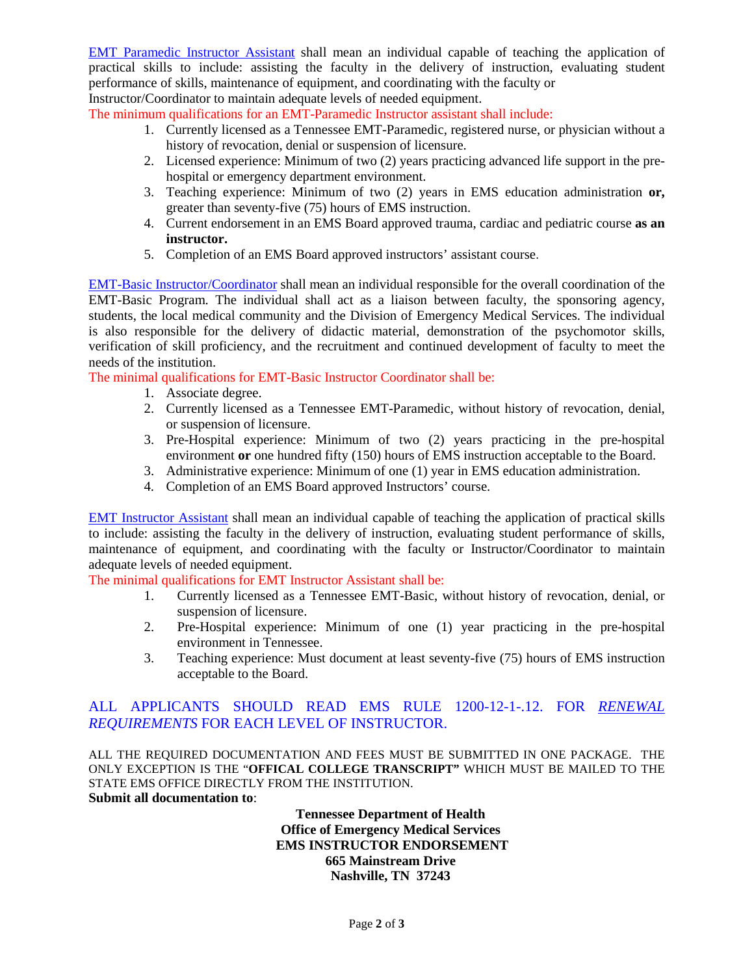EMT Paramedic Instructor Assistant shall mean an individual capable of teaching the application of practical skills to include: assisting the faculty in the delivery of instruction, evaluating student performance of skills, maintenance of equipment, and coordinating with the faculty or Instructor/Coordinator to maintain adequate levels of needed equipment.

The minimum qualifications for an EMT-Paramedic Instructor assistant shall include:

- 1. Currently licensed as a Tennessee EMT-Paramedic, registered nurse, or physician without a history of revocation, denial or suspension of licensure.
- 2. Licensed experience: Minimum of two (2) years practicing advanced life support in the prehospital or emergency department environment.
- 3. Teaching experience: Minimum of two (2) years in EMS education administration **or,** greater than seventy-five (75) hours of EMS instruction.
- 4. Current endorsement in an EMS Board approved trauma, cardiac and pediatric course **as an instructor.**
- 5. Completion of an EMS Board approved instructors' assistant course.

EMT-Basic Instructor/Coordinator shall mean an individual responsible for the overall coordination of the EMT-Basic Program. The individual shall act as a liaison between faculty, the sponsoring agency, students, the local medical community and the Division of Emergency Medical Services. The individual is also responsible for the delivery of didactic material, demonstration of the psychomotor skills, verification of skill proficiency, and the recruitment and continued development of faculty to meet the needs of the institution.

The minimal qualifications for EMT-Basic Instructor Coordinator shall be:

- 1. Associate degree.
- 2. Currently licensed as a Tennessee EMT-Paramedic, without history of revocation, denial, or suspension of licensure.
- 3. Pre-Hospital experience: Minimum of two (2) years practicing in the pre-hospital environment **or** one hundred fifty (150) hours of EMS instruction acceptable to the Board.
- 3. Administrative experience: Minimum of one (1) year in EMS education administration.
- 4. Completion of an EMS Board approved Instructors' course.

EMT Instructor Assistant shall mean an individual capable of teaching the application of practical skills to include: assisting the faculty in the delivery of instruction, evaluating student performance of skills, maintenance of equipment, and coordinating with the faculty or Instructor/Coordinator to maintain adequate levels of needed equipment.

The minimal qualifications for EMT Instructor Assistant shall be:

- 1. Currently licensed as a Tennessee EMT-Basic, without history of revocation, denial, or suspension of licensure.
- 2. Pre-Hospital experience: Minimum of one (1) year practicing in the pre-hospital environment in Tennessee.
- 3. Teaching experience: Must document at least seventy-five (75) hours of EMS instruction acceptable to the Board.

## ALL APPLICANTS SHOULD READ EMS RULE 1200-12-1-.12. FOR *RENEWAL REQUIREMENTS* FOR EACH LEVEL OF INSTRUCTOR.

ALL THE REQUIRED DOCUMENTATION AND FEES MUST BE SUBMITTED IN ONE PACKAGE. THE ONLY EXCEPTION IS THE "**OFFICAL COLLEGE TRANSCRIPT"** WHICH MUST BE MAILED TO THE STATE EMS OFFICE DIRECTLY FROM THE INSTITUTION. **Submit all documentation to**:

> **Tennessee Department of Health Office of Emergency Medical Services EMS INSTRUCTOR ENDORSEMENT 665 Mainstream Drive Nashville, TN 37243**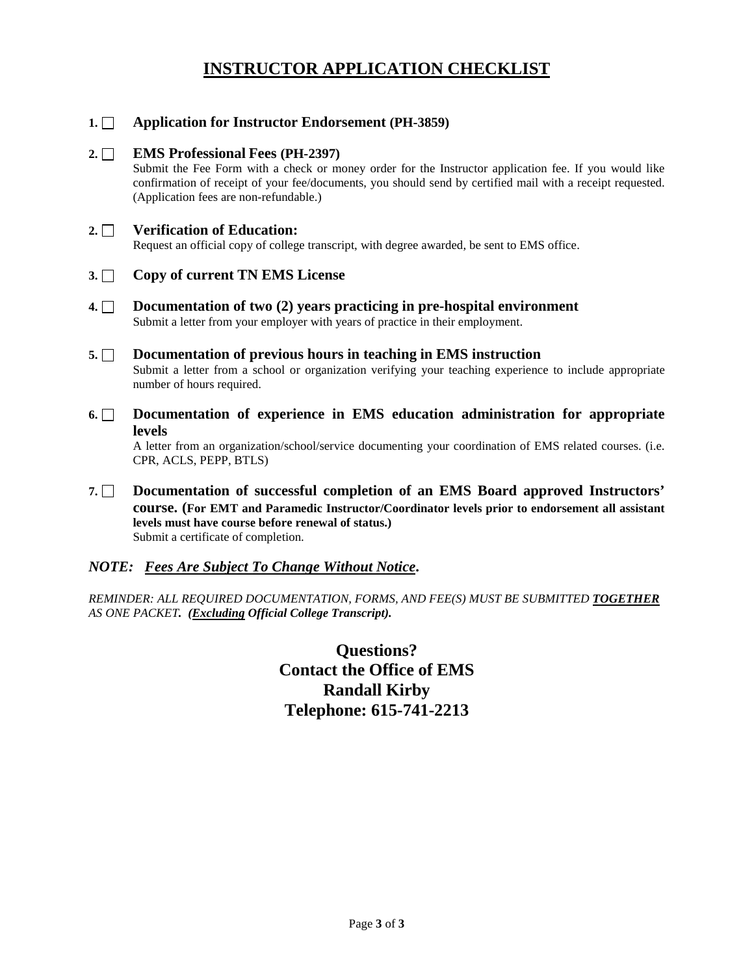# **INSTRUCTOR APPLICATION CHECKLIST**

### **1. Application for Instructor Endorsement (PH-3859)**

#### **2. EMS Professional Fees (PH-2397)**

Submit the Fee Form with a check or money order for the Instructor application fee. If you would like confirmation of receipt of your fee/documents, you should send by certified mail with a receipt requested. (Application fees are non-refundable.)

#### **2. Verification of Education:**

Request an official copy of college transcript, with degree awarded, be sent to EMS office.

#### **3. Copy of current TN EMS License**

- **4. Documentation of two (2) years practicing in pre-hospital environment**  Submit a letter from your employer with years of practice in their employment.
- **5. Documentation of previous hours in teaching in EMS instruction** Submit a letter from a school or organization verifying your teaching experience to include appropriate number of hours required.
- **6. Documentation of experience in EMS education administration for appropriate levels**

A letter from an organization/school/service documenting your coordination of EMS related courses. (i.e. CPR, ACLS, PEPP, BTLS)

**7. Documentation of successful completion of an EMS Board approved Instructors' course. (For EMT and Paramedic Instructor/Coordinator levels prior to endorsement all assistant levels must have course before renewal of status.)** Submit a certificate of completion.

#### *NOTE:**Fees Are Subject To Change Without Notice***.**

*REMINDER: ALL REQUIRED DOCUMENTATION, FORMS, AND FEE(S) MUST BE SUBMITTED TOGETHER AS ONE PACKET. (Excluding Official College Transcript).* 

> **Questions? Contact the Office of EMS Randall Kirby Telephone: 615-741-2213**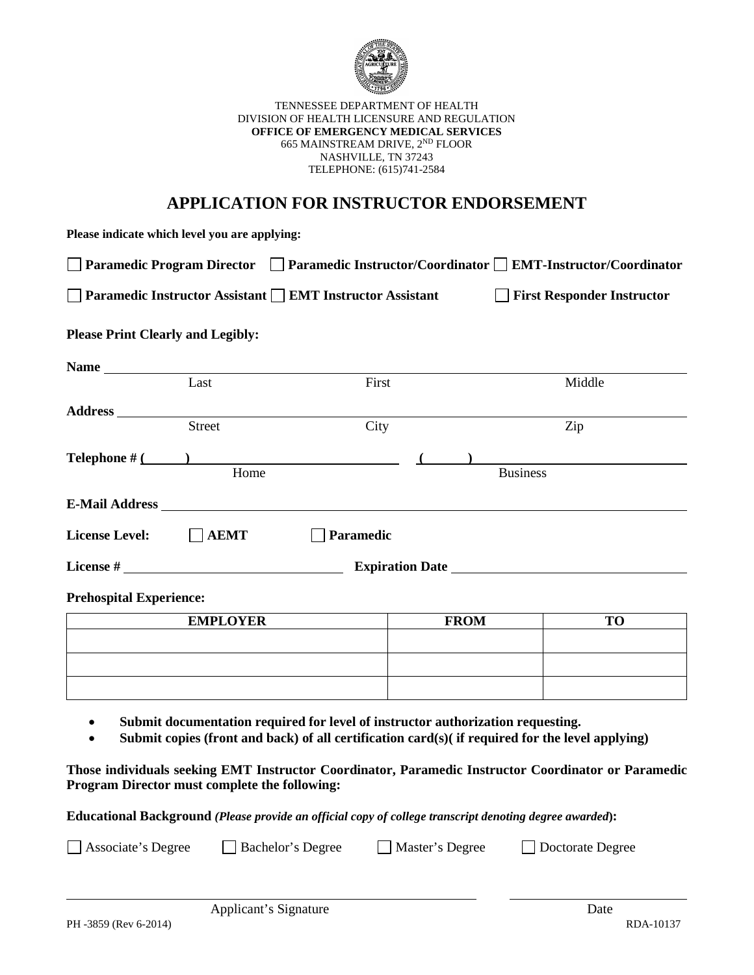

TENNESSEE DEPARTMENT OF HEALTH DIVISION OF HEALTH LICENSURE AND REGULATION **OFFICE OF EMERGENCY MEDICAL SERVICES** 665 MAINSTREAM DRIVE, 2ND FLOOR NASHVILLE, TN 37243 TELEPHONE: (615)741-2584

## **APPLICATION FOR INSTRUCTOR ENDORSEMENT**

**Please indicate which level you are applying:**

**Paramedic Program Director Paramedic Instructor/Coordinator EMT-Instructor/Coordinator**

**Paramedic Instructor Assistant REMT Instructor Assistant Responder Instructor** 

#### **Please Print Clearly and Legibly:**

|                                | Last                      | First     |  |                 | Middle |
|--------------------------------|---------------------------|-----------|--|-----------------|--------|
| <b>Address</b>                 |                           |           |  |                 |        |
|                                | <b>Street</b>             | City      |  |                 | Zip    |
|                                | <b>Telephone</b> $\#$ ( ) |           |  |                 |        |
|                                | Home                      |           |  | <b>Business</b> |        |
|                                | <b>E-Mail Address</b>     |           |  |                 |        |
| <b>License Level:</b>          | <b>AEMT</b>               | Paramedic |  |                 |        |
|                                |                           |           |  |                 |        |
| <b>Prehospital Experience:</b> |                           |           |  |                 |        |

| <b>EMPLOYER</b> | <b>FROM</b> | mо |
|-----------------|-------------|----|
|                 |             |    |
|                 |             |    |
|                 |             |    |
|                 |             |    |

- **Submit documentation required for level of instructor authorization requesting.**
- **Submit copies (front and back) of all certification card(s)( if required for the level applying)**

**Those individuals seeking EMT Instructor Coordinator, Paramedic Instructor Coordinator or Paramedic Program Director must complete the following:**

**Educational Background** *(Please provide an official copy of college transcript denoting degree awarded***):**

| Associate's Degree | Bachelor's Degree | Master's Degree | Doctorate Degree |  |
|--------------------|-------------------|-----------------|------------------|--|
|                    |                   |                 |                  |  |